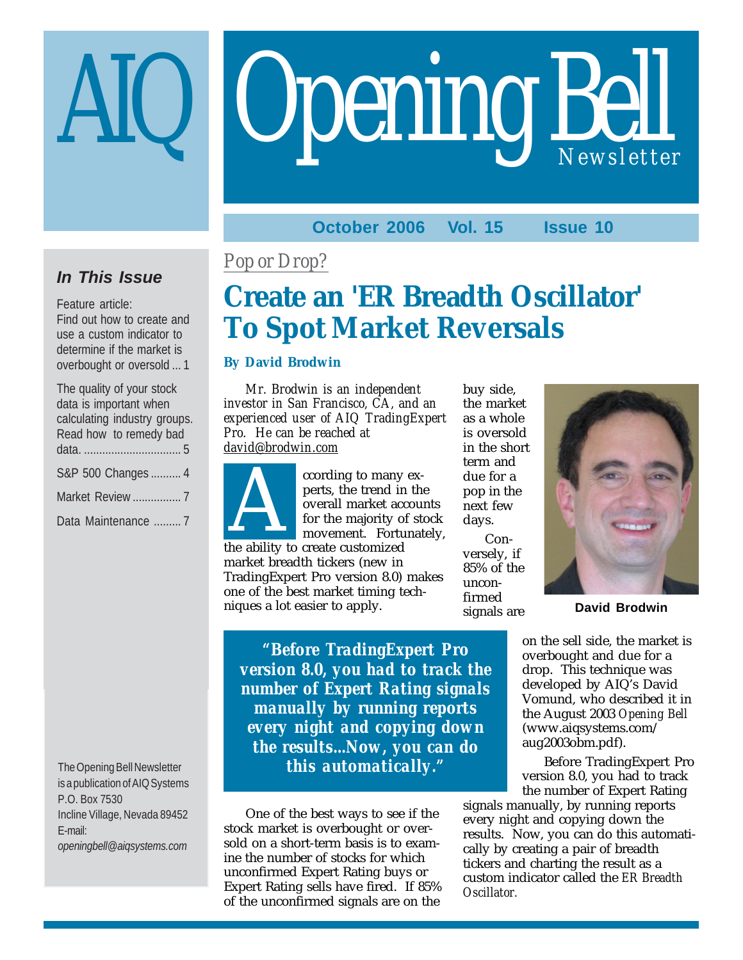# **Opening Bell**

## **October 2006 Vol. 15 Issue 10**

## **In This Issue**

Feature article: Find out how to create and use a custom indicator to determine if the market is overbought or oversold ... 1

| The quality of your stock    |
|------------------------------|
| data is important when       |
| calculating industry groups. |
| Read how to remedy bad       |
|                              |
| S&P 500 Changes  4           |
| Market Review  7             |
| Data Maintenance  7          |

The Opening Bell Newsletter is a publication of AIQ Systems P.O. Box 7530 Incline Village, Nevada 89452 E-mail: *openingbell@aiqsystems.com*

## *Pop or Drop?*

# **Create an 'ER Breadth Oscillator' To Spot Market Reversals**

## **By David Brodwin**

*Mr. Brodwin is an independent investor in San Francisco, CA, and an experienced user of AIQ TradingExpert Pro. He can be reached at david@brodwin.com*



ccording to many experts, the trend in the overall market accounts for the majority of stock movement. Fortunately, ccording to many<br>perts, the trend in<br>overall market acc<br>for the majority of<br>movement. Forture<br>the ability to create customized

market breadth tickers (new in TradingExpert Pro version 8.0) makes one of the best market timing techniques a lot easier to apply.

buy side, the market as a whole is oversold in the short term and due for a pop in the next few days.

Conversely, if 85% of the unconfirmed signals are



**David Brodwin**

on the sell side, the market is overbought and due for a drop. This technique was developed by AIQ's David Vomund, who described it in the August 2003 *Opening Bell* (www.aiqsystems.com/ aug2003obm.pdf).

Before TradingExpert Pro version 8.0, you had to track the number of Expert Rating

signals manually, by running reports every night and copying down the results. Now, you can do this automatically by creating a pair of breadth tickers and charting the result as a custom indicator called the *ER Breadth Oscillator.*

*"Before TradingExpert Pro version 8.0, you had to track the number of Expert Rating signals manually by running reports every night and copying down the results...Now, you can do this automatically."*

One of the best ways to see if the stock market is overbought or oversold on a short-term basis is to examine the number of stocks for which unconfirmed Expert Rating buys or Expert Rating sells have fired. If 85% of the unconfirmed signals are on the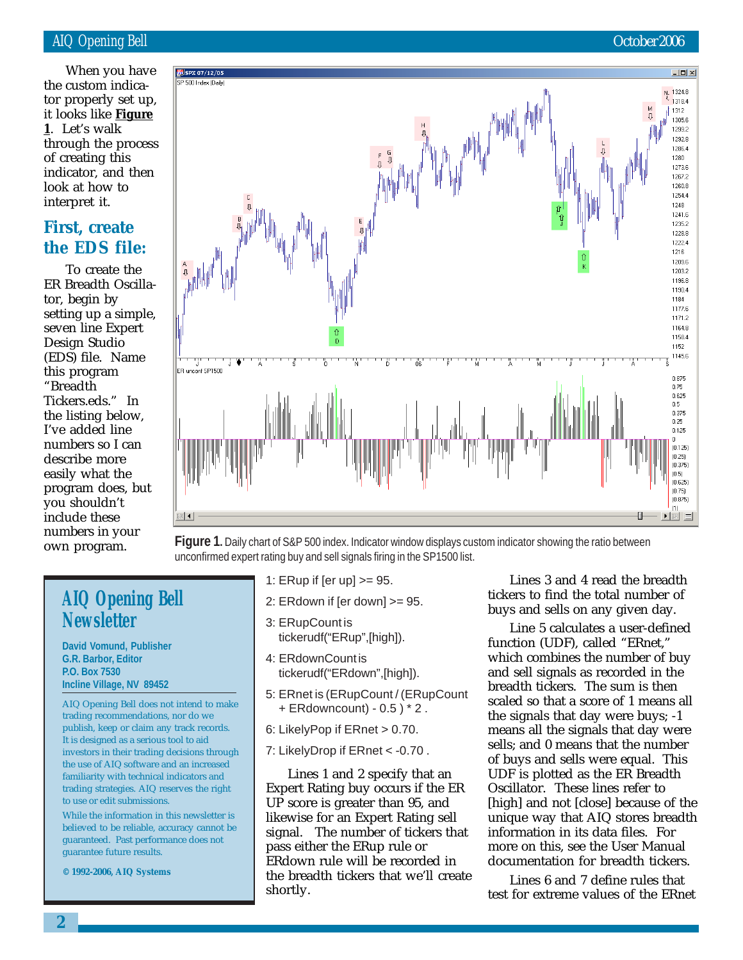it looks like <u>Figure</u> || || ||<br>1 || 1 ot's walk When you have the custom indicator properly set up, **1**. Let's walk through the process of creating this indicator, and then look at how to interpret it.

## **First, create the EDS file:**

To create the ER Breadth Oscillator, begin by setting up a simple, seven line Expert Design Studio (EDS) file. Name this program "Breadth Tickers.eds." In the listing below, I've added line numbers so I can describe more easily what the program does, but you shouldn't include these numbers in your own program.



**Figure 1.** Daily chart of S&P 500 index. Indicator window displays custom indicator showing the ratio between unconfirmed expert rating buy and sell signals firing in the SP1500 list.

## **AIQ Opening Bell Newsletter**

**David Vomund, Publisher G.R. Barbor, Editor P.O. Box 7530 Incline Village, NV 89452**

AIQ Opening Bell does not intend to make trading recommendations, nor do we publish, keep or claim any track records. It is designed as a serious tool to aid investors in their trading decisions through the use of AIQ software and an increased familiarity with technical indicators and trading strategies. AIQ reserves the right to use or edit submissions.

While the information in this newsletter is believed to be reliable, accuracy cannot be guaranteed. Past performance does not guarantee future results.

**© 1992-2006, AIQ Systems**

- 1: ERup if [er up] >= 95.
- 2: ERdown if [er down] >= 95.
- 3: ERupCount is tickerudf("ERup",[high]).
- 4: ERdownCount is tickerudf("ERdown",[high]).
- 5: ERnet is (ERupCount / (ERupCount + ERdowncount) - 0.5 ) \* 2 .
- 6: LikelyPop if ERnet > 0.70.
- 7: LikelyDrop if ERnet < -0.70 .

Lines 1 and 2 specify that an Expert Rating buy occurs if the ER UP score is greater than 95, and likewise for an Expert Rating sell signal. The number of tickers that pass either the ERup rule or ERdown rule will be recorded in the breadth tickers that we'll create shortly.

Lines 3 and 4 read the breadth tickers to find the total number of buys and sells on any given day.

Line 5 calculates a user-defined function (UDF), called "ERnet," which combines the number of buy and sell signals as recorded in the breadth tickers. The sum is then scaled so that a score of 1 means all the signals that day were buys; -1 means all the signals that day were sells; and 0 means that the number of buys and sells were equal. This UDF is plotted as the ER Breadth Oscillator. These lines refer to [high] and not [close] because of the unique way that AIQ stores breadth information in its data files. For more on this, see the User Manual documentation for breadth tickers.

Lines 6 and 7 define rules that test for extreme values of the ERnet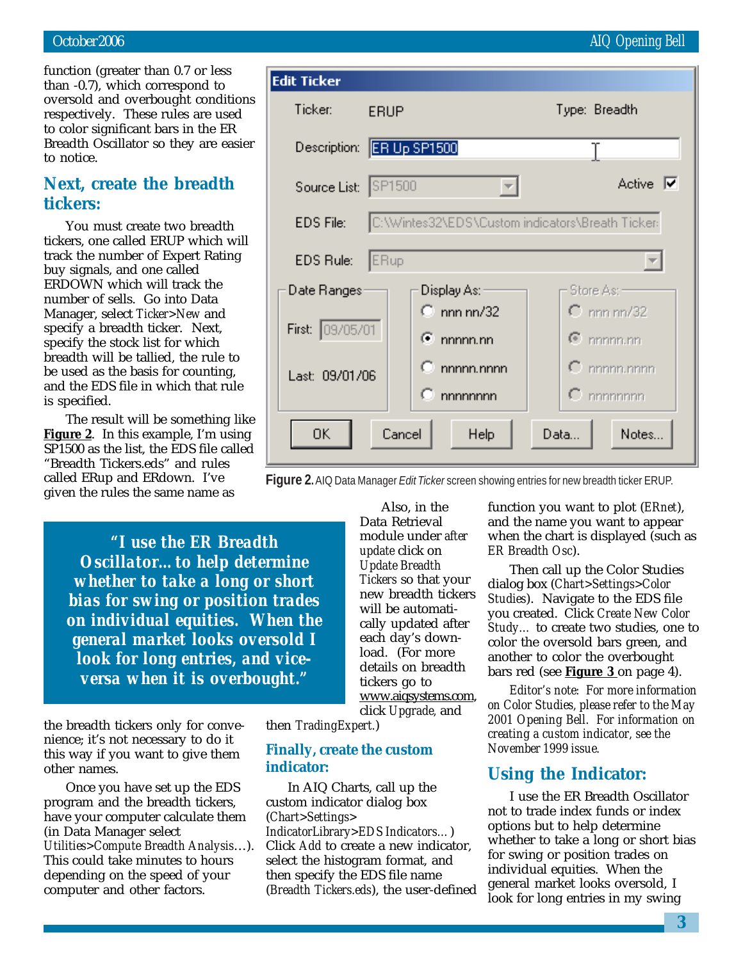function (greater than 0.7 or less than -0.7), which correspond to oversold and overbought conditions respectively. These rules are used to color significant bars in the ER Breadth Oscillator so they are easier to notice.

## **Next, create the breadth tickers:**

You must create two breadth tickers, one called ERUP which will track the number of Expert Rating buy signals, and one called ERDOWN which will track the number of sells. Go into Data Manager, select *Ticker>New* and specify a breadth ticker. Next, specify the stock list for which breadth will be tallied, the rule to be used as the basis for counting, and the EDS file in which that rule is specified.

The result will be something like **Figure 2**. In this example, I'm using SP1500 as the list, the EDS file called "Breadth Tickers.eds" and rules called ERup and ERdown. I've given the rules the same name as

> *"I use the ER Breadth Oscillator…to help determine whether to take a long or short bias for swing or position trades on individual equities. When the general market looks oversold I look for long entries, and viceversa when it is overbought."*

the breadth tickers only for convenience; it's not necessary to do it this way if you want to give them other names.

Once you have set up the EDS program and the breadth tickers, have your computer calculate them (in Data Manager select *Utilities>Compute Breadth Analysis*…). This could take minutes to hours depending on the speed of your computer and other factors.

Also, in the Data Retrieval module under *after update* click on *Update Breadth Tickers* so that your new breadth tickers will be automatically updated after each day's download. (For more details on breadth tickers go to www.aiqsystems.com, click *Upgrade,* and

then *TradingExpert.*)

## **Finally, create the custom indicator:**

In AIQ Charts, call up the custom indicator dialog box (*Chart>Settings> IndicatorLibrary>EDS Indicators…*) Click *Add* to create a new indicator, select the histogram format, and then specify the EDS file name (*Breadth Tickers.eds*), the user-defined function you want to plot (*ERnet*), and the name you want to appear when the chart is displayed (such as *ER Breadth Osc*).

Then call up the Color Studies dialog box (*Chart>Settings>Color Studies*). Navigate to the EDS file you created. Click *Create New Color Study…* to create two studies, one to color the oversold bars green, and another to color the overbought bars red (see **Figure 3** on page 4).

*Editor's note: For more information on Color Studies, please refer to the May 2001 Opening Bell. For information on creating a custom indicator, see the November 1999 issue.*

## **Using the Indicator:**

I use the ER Breadth Oscillator not to trade index funds or index options but to help determine whether to take a long or short bias for swing or position trades on individual equities. When the general market looks oversold, I look for long entries in my swing

## October 2006 AIQ Opening Bell

| Edit Ticker                           |                                                  |                        |  |
|---------------------------------------|--------------------------------------------------|------------------------|--|
| Ticker:                               | <b>ERUP</b>                                      | Type: Breadth          |  |
|                                       | Description: ER Up SP1500                        |                        |  |
| Source List: SP1500                   |                                                  | Active $ \nabla$       |  |
| EDS File:                             | C:\Wintes32\EDS\Custom indicators\Breath Ticker- |                        |  |
| EDS Rule:                             | ERup                                             |                        |  |
| Date Ranges:                          | Display As:                                      | Store As: -            |  |
|                                       | $\circ$ nnn nn/32                                | $C$ nnn nn/32          |  |
| First: 09/05/01                       | $\bullet$ nnnnn.nn                               | $\mathbf{e}$ nnnnn.nn  |  |
| Last: 09/01/06                        | $C_{\perp}$ nnnnn.nnnn                           | $\mathbf C$ nnnnn.nnnn |  |
|                                       | $\mathbb{C}$ nnnnnnnn                            | $\Gamma$ nnnnnnnn      |  |
| 0K<br>Cancel<br>Notes<br>Help<br>Data |                                                  |                        |  |

**Figure 2.** AIQ Data Manager *Edit Ticker* screen showing entries for new breadth ticker ERUP.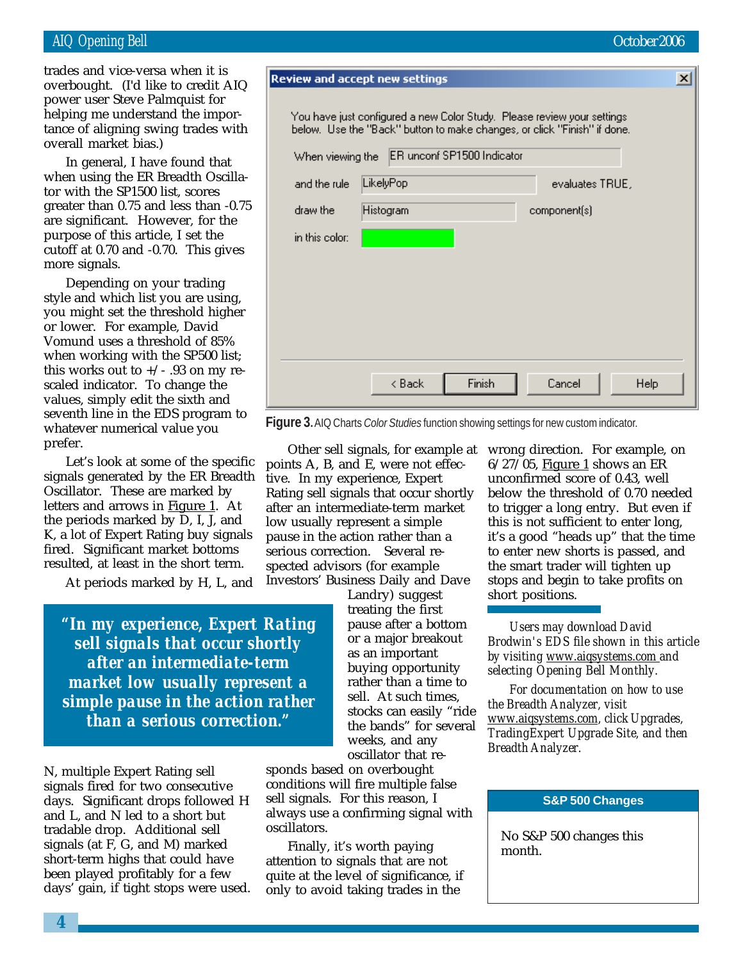## AIQ Opening Bell October 2006

helping me understand the impor-<br>tance of aligning swing trades with trades and vice-versa when it is overbought. (I'd like to credit AIQ power user Steve Palmquist for tance of aligning swing trades with overall market bias.)

In general, I have found that when using the ER Breadth Oscillator with the SP1500 list, scores greater than 0.75 and less than -0.75 are significant. However, for the purpose of this article, I set the cutoff at 0.70 and -0.70. This gives more signals.

Depending on your trading style and which list you are using, you might set the threshold higher or lower. For example, David Vomund uses a threshold of 85% when working with the SP500 list; this works out to  $+/-$  .93 on my rescaled indicator. To change the values, simply edit the sixth and seventh line in the EDS program to whatever numerical value you prefer.

Let's look at some of the specific signals generated by the ER Breadth Oscillator. These are marked by letters and arrows in **Figure 1**. At the periods marked by D, I, J, and K, a lot of Expert Rating buy signals fired. Significant market bottoms resulted, at least in the short term.

At periods marked by H, L, and

*"In my experience, Expert Rating sell signals that occur shortly after an intermediate-term market low usually represent a simple pause in the action rather than a serious correction."*

N, multiple Expert Rating sell signals fired for two consecutive days. Significant drops followed H and L, and N led to a short but tradable drop. Additional sell signals (at F, G, and M) marked short-term highs that could have been played profitably for a few days' gain, if tight stops were used. sponds based on overbought conditions will fire multiple false sell signals. For this reason, I always use a confirming signal with oscillators.

Finally, it's worth paying attention to signals that are not quite at the level of significance, if only to avoid taking trades in the

6/27/05, Figure 1 shows an ER unconfirmed score of 0.43, well below the threshold of 0.70 needed to trigger a long entry. But even if this is not sufficient to enter long, it's a good "heads up" that the time to enter new shorts is passed, and the smart trader will tighten up stops and begin to take profits on short positions.

*Users may download David Brodwin's EDS file shown in this article by visiting www.aiqsystems.com and selecting Opening Bell Monthly.*

*For documentation on how to use the Breadth Analyzer, visit www.aiqsystems.com, click Upgrades, TradingExpert Upgrade Site, and then Breadth Analyzer.*

#### **S&P 500 Changes**

No S&P 500 changes this month.

You have just configured a new Color Study. Please review your settings below. Use the "Back" button to make changes, or click "Finish" if done. When viewing the ER unconf SP1500 Indicator LikelyPop and the rule evaluates TRUE. draw the Histogram component(s) in this color: < Back Finish Cancel Help

**Figure 3.** AIQ Charts *Color Studies* function showing settings for new custom indicator.

Other sell signals, for example at wrong direction. For example, on points A, B, and E, were not effective. In my experience, Expert Rating sell signals that occur shortly after an intermediate-term market low usually represent a simple pause in the action rather than a

> Landry) suggest treating the first pause after a bottom or a major breakout as an important buying opportunity rather than a time to sell. At such times, stocks can easily "ride the bands" for several weeks, and any oscillator that re-

serious correction. Several respected advisors (for example Investors' Business Daily and Dave

**Review and accept new settings** 

 $\vert x \vert$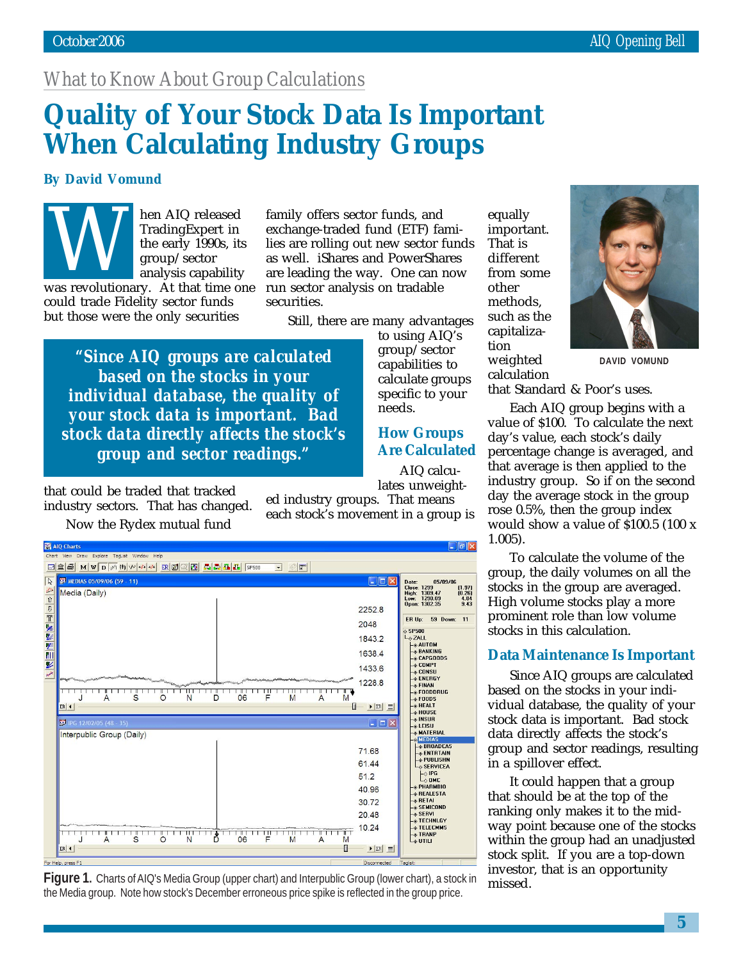## *What to Know About Group Calculations*

# **Quality of Your Stock Data Is Important When Calculating Industry Groups**

## **By David Vomund**

Washington Chem AIQ released<br>TradingExpert in<br>the early 1990s, its<br>group/sector<br>analysis capability<br>was revolutionary. At that time one TradingExpert in the early 1990s, its group/sector analysis capability

could trade Fidelity sector funds but those were the only securities

family offers sector funds, and exchange-traded fund (ETF) families are rolling out new sector funds as well. iShares and PowerShares are leading the way. One can now run sector analysis on tradable securities.

Still, there are many advantages

needs.

*"Since AIQ groups are calculated based on the stocks in your individual database, the quality of your stock data is important. Bad stock data directly affects the stock's group and sector readings."*

that could be traded that tracked industry sectors. That has changed. Now the Rydex mutual fund

 $\Box$ e $\times$ AIQ Charts View Draw Explore TagList Window Hel  $\overline{\mathbb{R}}$ MEDIAS 05/09/06 (59 - 11) 05/09/06 Date: 05/1<br>Close: 1299<br>High: 1309.47<br>Low: 1290.09<br>Open: 1302.35  $\begin{array}{c} \n (1.97) \\
 (0.26) \\
 \hline\n 4.84 \\
 \hline\n 9.43\n \end{array}$ 2010年12月10日 Media (Daily) 2252.8 ER Up: 59 Down: 11 2048 **SP500**  $\Leftrightarrow$  ZALL 1843.2 →<br>- ↑ AUTOM<br>- ↑ BANKING<br>- ↑ CAPGOODS 1638.4 - ⊕ CAPGOODS<br>- ⊕ COMPT<br>- ⊕ CONSU<br>- ⊕ FINAN<br>- ⊕ FOODS<br>- ⊕ FOODS<br>- ⊕ FOODS<br>- ⊕ FOODS 1433.6 1228.8 THE THEFT THE T — † FUUDS<br>— † HEALT<br>— † HOUSE<br>— † NATERIAL<br>— † MATERIAL<br>— † MATERIAL  $ER$   $\vert$   $\vert$   $\vert$   $\vert$  $\Box$  $\blacktriangleright$  ER  $\equiv$ IPG 12/02/05 (48 - 35)  $=$   $\Box$   $\times$ Interpublic Group (Daily) → MATERIAL<br>
→ MEDIAS<br>
→ ENTRTAIN<br>
→ PUBLISHN<br>
→ SERVICEA<br>
LA IPG 71.68 61.44 L⇔ SERVICEA<br>
L⇔ IPG<br>
--≫ PHARMBIO<br>
--≫ REALESTA<br>
--≫ SEMICOND<br>
--∞ SEMICOND  $51.2$ 40.96 30.72 20.48 ⊕ SERVI<br>⊕ TECHNLGY 10.24 **TELECHMS**  $E^*$  TRANP  $ER$   $\vert$   $\vert$  $\blacktriangleright$  ER  $\equiv$ 

Figure 1. Charts of AIQ's Media Group (upper chart) and Interpublic Group (lower chart), a stock in missed. the Media group. Note how stock's December erroneous price spike is reflected in the group price.

calculate groups specific to your equally important. That is different from some other methods, such as the capitalization weighted calculation

## **How Groups Are Calculated**

to using AIQ's group/sector capabilities to

AIQ calculates unweight-

ed industry groups. That means each stock's movement in a group is **DAVID VOMUND**

that Standard & Poor's uses.

Each AIQ group begins with a value of \$100. To calculate the next day's value, each stock's daily percentage change is averaged, and that average is then applied to the industry group. So if on the second day the average stock in the group rose 0.5%, then the group index would show a value of \$100.5 (100 x 1.005).

To calculate the volume of the group, the daily volumes on all the stocks in the group are averaged. High volume stocks play a more prominent role than low volume stocks in this calculation.

## **Data Maintenance Is Important**

Since AIQ groups are calculated based on the stocks in your individual database, the quality of your stock data is important. Bad stock data directly affects the stock's group and sector readings, resulting in a spillover effect.

It could happen that a group that should be at the top of the ranking only makes it to the midway point because one of the stocks within the group had an unadjusted stock split. If you are a top-down investor, that is an opportunity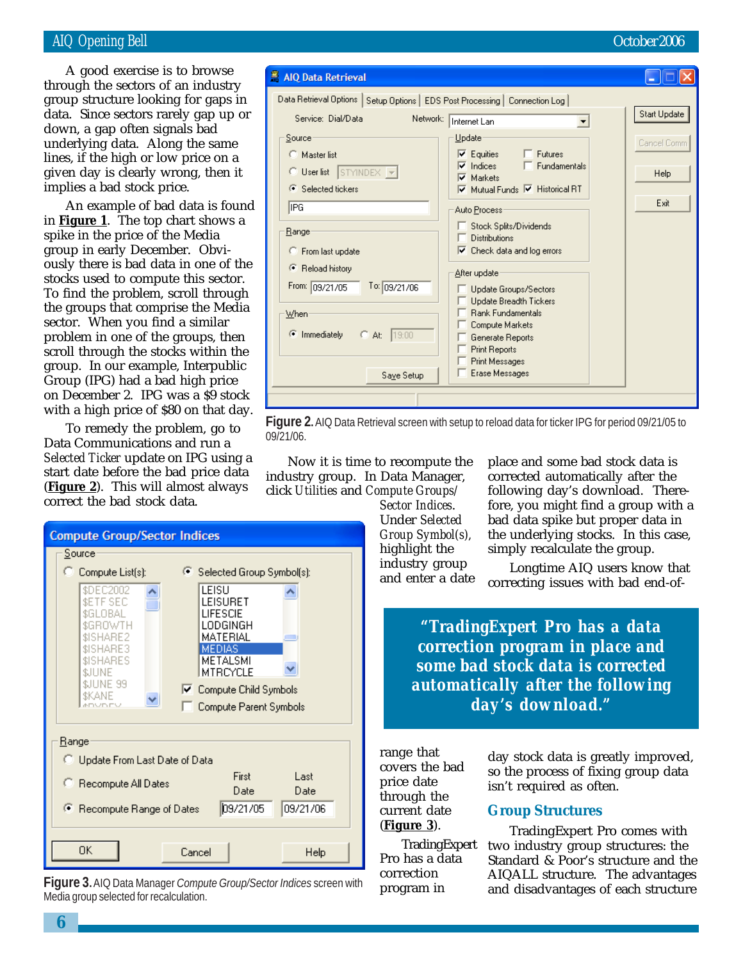## AIQ Opening Bell October 2006

data. Since sectors rarely gap up or<br>down 2.93p often signals had A good exercise is to browse through the sectors of an industry group structure looking for gaps in down, a gap often signals bad underlying data. Along the same lines, if the high or low price on a given day is clearly wrong, then it implies a bad stock price.

An example of bad data is found in **Figure 1**. The top chart shows a spike in the price of the Media group in early December. Obviously there is bad data in one of the stocks used to compute this sector. To find the problem, scroll through the groups that comprise the Media sector. When you find a similar problem in one of the groups, then scroll through the stocks within the group. In our example, Interpublic Group (IPG) had a bad high price on December 2. IPG was a \$9 stock with a high price of \$80 on that day.

To remedy the problem, go to Data Communications and run a *Selected Ticker* update on IPG using a start date before the bad price data (**Figure 2**). This will almost always correct the bad stock data.



**Figure 3.** AIQ Data Manager *Compute Group/Sector Indices* screen with Media group selected for recalculation.

#### AIQ Data Retrieval  $\Box$   $\Box$   $\mathsf{X}$ Data Retrieval Options | Setup Options | EDS Post Processing | Connection Log | Start Update Network: Thternet Lan Service: Dial/Data  $\blacktriangledown$ Source Update Cancel Comm  $\nabla$  Equities Futures C Master list  $\overline{\mathbf{v}}$ Indices Fundamentals C User list STYINDEX -Help  $\overline{\mathbf{v}}$ Markets Selected tickers Mutual Funds M Historical RT Exit IPG Auto Process Stock Splits/Dividends **Range** Distributions □ Check data and log errors C From last update <sup>®</sup> Reload history After update From: 09/21/05 To: 09/21/06 г Update Groups/Sectors Г **Update Breadth Tickers** Rank Fundamentals  $W$ hen г Compute Markets C Immediately  $C$  At:  $19:00$ г Generate Reports г **Print Reports** г Print Messages E Erase Messages Saye Setup

**Figure 2.** AIQ Data Retrieval screen with setup to reload data for ticker IPG for period 09/21/05 to 09/21/06.

Now it is time to recompute the industry group. In Data Manager, click *Utilities* and *Compute Groups/*

*Sector Indices*. Under *Selected Group Symbol(s),* highlight the industry group and enter a date place and some bad stock data is corrected automatically after the following day's download. Therefore, you might find a group with a bad data spike but proper data in the underlying stocks. In this case, simply recalculate the group.

Longtime AIQ users know that correcting issues with bad end-of-

*"TradingExpert Pro has a data correction program in place and some bad stock data is corrected automatically after the following day's download."*

range that covers the bad price date through the current date (**Figure 3**).

TradingExpert Pro has a data correction program in

day stock data is greatly improved, so the process of fixing group data isn't required as often.

### **Group Structures**

TradingExpert Pro comes with two industry group structures: the Standard & Poor's structure and the AIQALL structure. The advantages and disadvantages of each structure